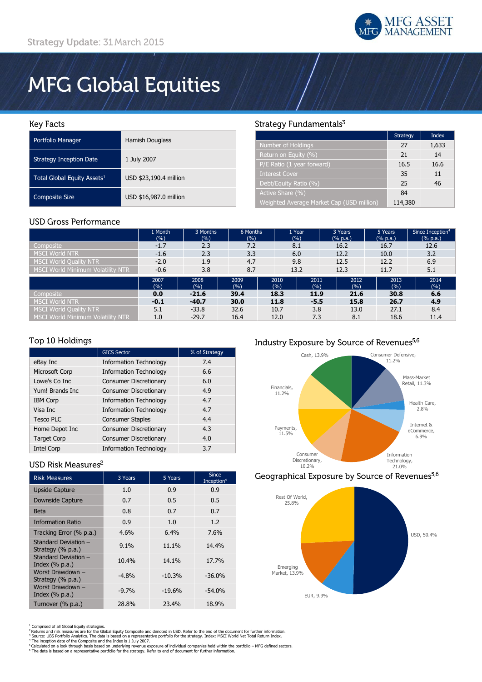

# **MFG Global Equities**

## **Key Facts**

| Portfolio Manager                       | <b>Hamish Douglass</b> |
|-----------------------------------------|------------------------|
| <b>Strategy Inception Date</b>          | 1 July 2007            |
| Total Global Equity Assets <sup>1</sup> | USD \$23,190.4 million |
| <b>Composite Size</b>                   | USD \$16,987.0 million |

## **USD Gross Performance**

# Strategy Fundamentals<sup>3</sup>

|                                           | Strategy | Index |
|-------------------------------------------|----------|-------|
| Number of Holdings                        | 27       | 1,633 |
| Return on Equity (%)                      | 21       | 14    |
| P/E Ratio (1 year forward)                | 16.5     | 16.6  |
| <b>Interest Cover</b>                     | 35       | 11    |
| Debt/Equity Ratio (%)                     | 25       | 46    |
| Active Share (%)                          | 84       |       |
| Weighted Average Market Cap (USD million) | 114,380  |       |

|                                          | 1 Month<br>(%) | 3 Months<br>(%) | 6 Months<br>(%) | 1 Year<br>(%) |             | 3 Years<br>$(% \mathbb{R}^2)$ (% p.a.) | 5 Years<br>(% p.a.) | Since Inception <sup>4</sup><br>(% p.a.) |
|------------------------------------------|----------------|-----------------|-----------------|---------------|-------------|----------------------------------------|---------------------|------------------------------------------|
| Composite                                | $-1.7$         | 2.3             | 7.2             | 8.1           |             | 16.2                                   | 16.7                | 12.6                                     |
| <b>MSCI World NTR</b>                    | $-1.6$         | 2.3             | 3.3             | 6.0           |             | 12.2                                   | 10.0                | 3.2                                      |
| MSCI World Quality NTR                   | $-2.0$         | 1.9             | 4.7             | 9.8           |             | 12.5                                   | 12.2                | 6.9                                      |
| <b>MSCI World Minimum Volatility NTR</b> | $-0.6$         | 3.8             | 8.7             | 13.2          |             | 12.3                                   | 11.7                | 5.1                                      |
|                                          | 2007<br>(%)    | 2008<br>(0/0)   | 2009<br>(%)     | 2010<br>(%)   | 2011<br>(%) | 2012<br>(%)                            | 2013<br>(%)         | 2014<br>(%)                              |
| Composite                                | 0.0            | $-21.6$         | 39.4            | 18.3          | 11.9        | 21.6                                   | 30.8                | 6.6                                      |
| <b>MSCI World NTR</b>                    | $-0.1$         | $-40.7$         | 30.0            | 11.8          | $-5.5$      | 15.8                                   | 26.7                | 4.9                                      |
| <b>MSCI World Ouality NTR</b>            | 5.1            | $-33.8$         | 32.6            | 10.7          | 3.8         | 13.0                                   | 27.1                | 8.4                                      |
| MSCI World Minimum Volatility NTR        | 1.0            | $-29.7$         | 16.4            | 12.0          | 7.3         | 8.1                                    | 18.6                | 11.4                                     |

## Top 10 Holdings

|                    | <b>GICS Sector</b>            | % of Strategy |
|--------------------|-------------------------------|---------------|
| eBay Inc           | <b>Information Technology</b> | 7.4           |
| Microsoft Corp     | <b>Information Technology</b> | 6.6           |
| Lowe's Co Inc      | <b>Consumer Discretionary</b> | 6.0           |
| Yum! Brands Inc    | <b>Consumer Discretionary</b> | 4.9           |
| <b>IBM Corp</b>    | <b>Information Technology</b> | 4.7           |
| Visa Inc           | <b>Information Technology</b> | 4.7           |
| <b>Tesco PLC</b>   | <b>Consumer Staples</b>       | 4.4           |
| Home Depot Inc     | <b>Consumer Discretionary</b> | 4.3           |
| <b>Target Corp</b> | <b>Consumer Discretionary</b> | 4.0           |
| <b>Intel Corp</b>  | <b>Information Technology</b> | 3.7           |

## USD Risk Measures<sup>2</sup>

| <b>Risk Measures</b>                      | 3 Years | 5 Years  | <b>Since</b><br>Inception <sup>4</sup> |
|-------------------------------------------|---------|----------|----------------------------------------|
| <b>Upside Capture</b>                     | 1.0     | 0.9      | 0.9                                    |
| <b>Downside Capture</b>                   | 0.7     | 0.5      | 0.5                                    |
| <b>Beta</b>                               | 0.8     | 0.7      | 0.7                                    |
| <b>Information Ratio</b>                  | 0.9     | 1.0      | 1.2                                    |
| Tracking Error (% p.a.)                   | 4.6%    | 6.4%     | 7.6%                                   |
| Standard Deviation -<br>Strategy (% p.a.) | 9.1%    | 11.1%    | 14.4%                                  |
| Standard Deviation -<br>Index $(\%$ p.a.) | 10.4%   | 14.1%    | 17.7%                                  |
| Worst Drawdown -<br>Strategy (% p.a.)     | $-4.8%$ | $-10.3%$ | $-36.0%$                               |
| Worst Drawdown -<br>Index $(\%$ p.a.)     | $-9.7%$ | $-19.6%$ | $-54.0%$                               |
| Turnover (% p.a.)                         | 28.8%   | 23.4%    | 18.9%                                  |

## Industry Exposure by Source of Revenues<sup>5,6</sup>



# Geographical Exposure by Source of Revenues<sup>5,6</sup>



<sup>1</sup> Comprised of all Global Equity strategies.<br><sup>2</sup> Returns and risk measures are for the Global Equity Composite and denoted in USD. Refer to the end of the document for further information.<br><sup>4</sup> Source: UBS Portfolio Analy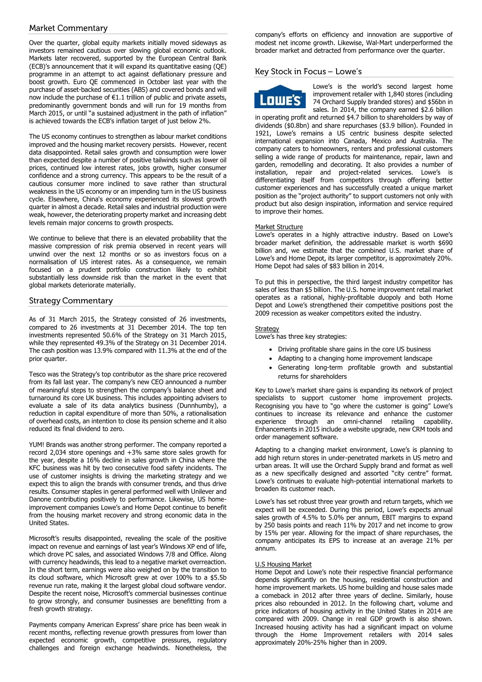## **Market Commentary**

Over the quarter, global equity markets initially moved sideways as investors remained cautious over slowing global economic outlook. Markets later recovered, supported by the European Central Bank (ECB)'s announcement that it will expand its quantitative easing (QE) programme in an attempt to act against deflationary pressure and boost growth. Euro QE commenced in October last year with the purchase of asset-backed securities (ABS) and covered bonds and will now include the purchase of €1.1 trillion of public and private assets, predominantly government bonds and will run for 19 months from March 2015, or until "a sustained adjustment in the path of inflation" is achieved towards the ECB's inflation target of just below 2%.

The US economy continues to strengthen as labour market conditions improved and the housing market recovery persists. However, recent data disappointed. Retail sales growth and consumption were lower than expected despite a number of positive tailwinds such as lower oil prices, continued low interest rates, jobs growth, higher consumer confidence and a strong currency. This appears to be the result of a cautious consumer more inclined to save rather than structural weakness in the US economy or an impending turn in the US business cycle. Elsewhere, China's economy experienced its slowest growth quarter in almost a decade. Retail sales and industrial production were weak, however, the deteriorating property market and increasing debt levels remain major concerns to growth prospects.

We continue to believe that there is an elevated probability that the massive compression of risk premia observed in recent years will unwind over the next 12 months or so as investors focus on a normalisation of US interest rates. As a consequence, we remain focused on a prudent portfolio construction likely to exhibit substantially less downside risk than the market in the event that global markets deteriorate materially.

## **Strategy Commentary**

As of 31 March 2015, the Strategy consisted of 26 investments, compared to 26 investments at 31 December 2014. The top ten investments represented 50.6% of the Strategy on 31 March 2015, while they represented 49.3% of the Strategy on 31 December 2014. The cash position was 13.9% compared with 11.3% at the end of the prior quarter.

Tesco was the Strategy's top contributor as the share price recovered from its fall last year. The company's new CEO announced a number of meaningful steps to strengthen the company's balance sheet and turnaround its core UK business. This includes appointing advisers to evaluate a sale of its data analytics business (Dunnhumby), a reduction in capital expenditure of more than 50%, a rationalisation of overhead costs, an intention to close its pension scheme and it also reduced its final dividend to zero.

YUM! Brands was another strong performer. The company reported a record 2,034 store openings and +3% same store sales growth for the year, despite a 16% decline in sales growth in China where the KFC business was hit by two consecutive food safety incidents. The use of customer insights is driving the marketing strategy and we expect this to align the brands with consumer trends, and thus drive results. Consumer staples in general performed well with Unilever and Danone contributing positively to performance. Likewise, US homeimprovement companies Lowe's and Home Depot continue to benefit from the housing market recovery and strong economic data in the United States.

Microsoft's results disappointed, revealing the scale of the positive impact on revenue and earnings of last year's Windows XP end of life, which drove PC sales, and associated Windows 7/8 and Office. Along with currency headwinds, this lead to a negative market overreaction. In the short term, earnings were also weighed on by the transition to its cloud software, which Microsoft grew at over 100% to a \$5.5b revenue run rate, making it the largest global cloud software vendor. Despite the recent noise, Microsoft's commercial businesses continue to grow strongly, and consumer businesses are benefitting from a fresh growth strategy.

Payments company American Express' share price has been weak in recent months, reflecting revenue growth pressures from lower than expected economic growth, competitive pressures, regulatory challenges and foreign exchange headwinds. Nonetheless, the

company's efforts on efficiency and innovation are supportive of modest net income growth. Likewise, Wal-Mart underperformed the broader market and detracted from performance over the quarter.

## Key Stock in Focus - Lowe's



Lowe's is the world's second largest home improvement retailer with 1,840 stores (including 74 Orchard Supply branded stores) and \$56bn in sales. In 2014, the company earned \$2.6 billion

in operating profit and returned \$4.7 billion to shareholders by way of dividends (\$0.8bn) and share repurchases (\$3.9 billion). Founded in 1921, Lowe's remains a US centric business despite selected international expansion into Canada, Mexico and Australia. The company caters to homeowners, renters and professional customers selling a wide range of products for maintenance, repair, lawn and garden, remodelling and decorating. It also provides a number of installation, repair and project-related services. Lowe's is differentiating itself from competitors through offering better customer experiences and has successfully created a unique market position as the "project authority" to support customers not only with product but also design inspiration, information and service required to improve their homes.

#### Market Structure

Lowe's operates in a highly attractive industry. Based on Lowe's broader market definition, the addressable market is worth \$690 billion and, we estimate that the combined U.S. market share of Lowe's and Home Depot, its larger competitor, is approximately 20%. Home Depot had sales of \$83 billion in 2014.

To put this in perspective, the third largest industry competitor has sales of less than \$5 billion. The U.S. home improvement retail market operates as a rational, highly-profitable duopoly and both Home Depot and Lowe's strengthened their competitive positions post the 2009 recession as weaker competitors exited the industry.

#### **Strategy**

Lowe's has three key strategies:

- Driving profitable share gains in the core US business
- Adapting to a changing home improvement landscape
- Generating long-term profitable growth and substantial returns for shareholders

Key to Lowe's market share gains is expanding its network of project specialists to support customer home improvement projects. Recognising you have to "go where the customer is going" Lowe's continues to increase its relevance and enhance the customer experience through an omni-channel retailing capability. Enhancements in 2015 include a website upgrade, new CRM tools and order management software.

Adapting to a changing market environment, Lowe's is planning to add high return stores in under-penetrated markets in US metro and urban areas. It will use the Orchard Supply brand and format as well as a new specifically designed and assorted "city centre" format. Lowe's continues to evaluate high-potential international markets to broaden its customer reach.

Lowe's has set robust three year growth and return targets, which we expect will be exceeded. During this period, Lowe's expects annual sales growth of 4.5% to 5.0% per annum, EBIT margins to expand by 250 basis points and reach 11% by 2017 and net income to grow by 15% per year. Allowing for the impact of share repurchases, the company anticipates its EPS to increase at an average 21% per annum.

#### U.S Housing Market

Home Depot and Lowe's note their respective financial performance depends significantly on the housing, residential construction and home improvement markets. US home building and house sales made a comeback in 2012 after three years of decline. Similarly, house prices also rebounded in 2012. In the following chart, volume and price indicators of housing activity in the United States in 2014 are compared with 2009. Change in real GDP growth is also shown. Increased housing activity has had a significant impact on volume through the Home Improvement retailers with 2014 sales approximately 20%-25% higher than in 2009.